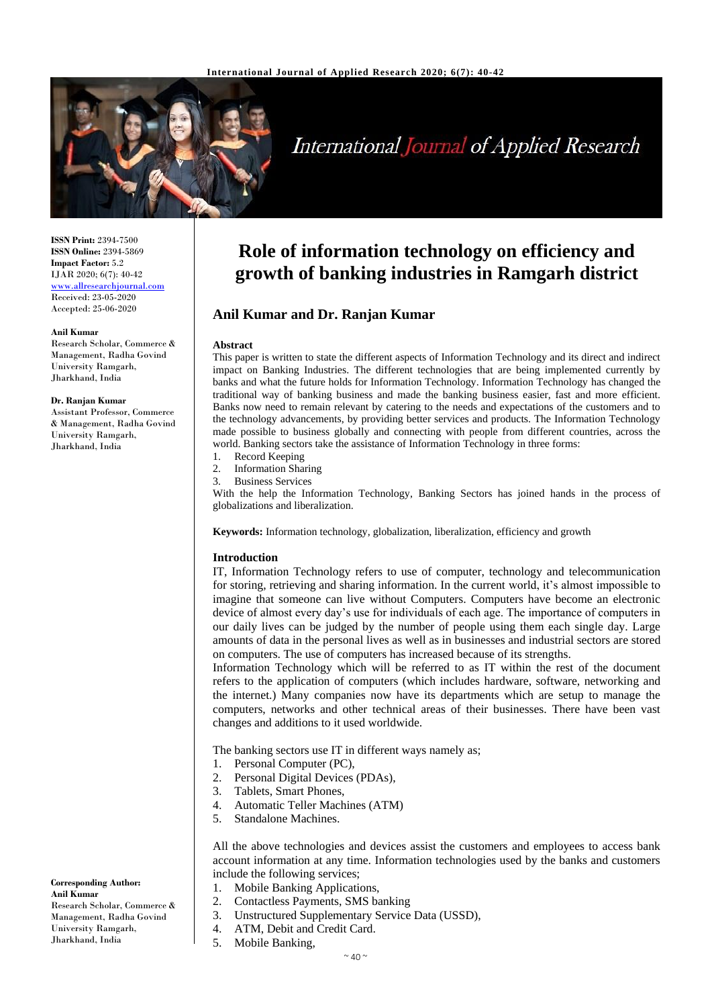

# **International Journal of Applied Research**

**ISSN Print:** 2394-7500 **ISSN Online:** 2394-5869 **Impact Factor:** 5.2 IJAR 2020; 6(7): 40-42 <www.allresearchjournal.com> Received: 23-05-2020 Accepted: 25-06-2020

#### **Anil Kumar**

Research Scholar, Commerce & Management, Radha Govind University Ramgarh, Jharkhand, India

#### **Dr. Ranjan Kumar**

Assistant Professor, Commerce & Management, Radha Govind University Ramgarh, Jharkhand, India

## **Role of information technology on efficiency and growth of banking industries in Ramgarh district**

### **Anil Kumar and Dr. Ranjan Kumar**

#### **Abstract**

This paper is written to state the different aspects of Information Technology and its direct and indirect impact on Banking Industries. The different technologies that are being implemented currently by banks and what the future holds for Information Technology. Information Technology has changed the traditional way of banking business and made the banking business easier, fast and more efficient. Banks now need to remain relevant by catering to the needs and expectations of the customers and to the technology advancements, by providing better services and products. The Information Technology made possible to business globally and connecting with people from different countries, across the world. Banking sectors take the assistance of Information Technology in three forms:

- 1. Record Keeping
- 2. Information Sharing
- 3. Business Services

With the help the Information Technology, Banking Sectors has joined hands in the process of globalizations and liberalization.

**Keywords:** Information technology, globalization, liberalization, efficiency and growth

#### **Introduction**

IT, Information Technology refers to use of computer, technology and telecommunication for storing, retrieving and sharing information. In the current world, it's almost impossible to imagine that someone can live without Computers. Computers have become an electronic device of almost every day's use for individuals of each age. The importance of computers in our daily lives can be judged by the number of people using them each single day. Large amounts of data in the personal lives as well as in businesses and industrial sectors are stored on computers. The use of computers has increased because of its strengths.

Information Technology which will be referred to as IT within the rest of the document refers to the application of computers (which includes hardware, software, networking and the internet.) Many companies now have its departments which are setup to manage the computers, networks and other technical areas of their businesses. There have been vast changes and additions to it used worldwide.

The banking sectors use IT in different ways namely as;

- 1. Personal Computer (PC),
- 2. Personal Digital Devices (PDAs),
- 3. Tablets, Smart Phones,
- 4. Automatic Teller Machines (ATM)
- 5. Standalone Machines.

All the above technologies and devices assist the customers and employees to access bank account information at any time. Information technologies used by the banks and customers include the following services;

- 1. Mobile Banking Applications,
- 2. Contactless Payments, SMS banking
- 3. Unstructured Supplementary Service Data (USSD),
- 4. ATM, Debit and Credit Card.
- 5. Mobile Banking,

**Corresponding Author: Anil Kumar** Research Scholar, Commerce & Management, Radha Govind University Ramgarh, Jharkhand, India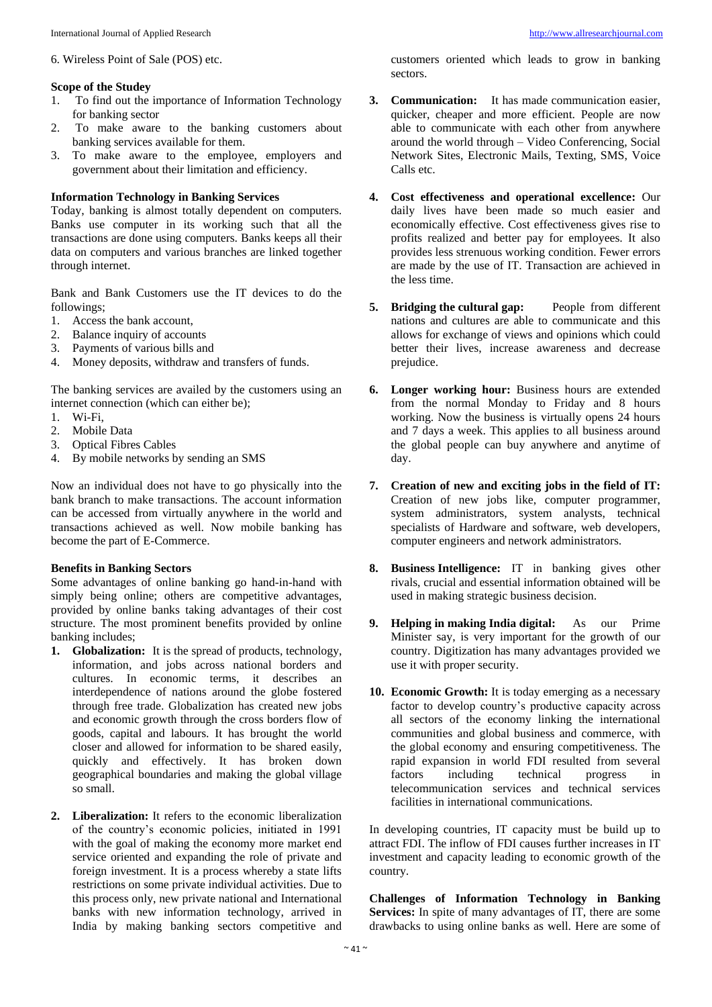6. Wireless Point of Sale (POS) etc.

#### **Scope of the Studey**

- 1. To find out the importance of Information Technology for banking sector
- 2. To make aware to the banking customers about banking services available for them.
- 3. To make aware to the employee, employers and government about their limitation and efficiency.

#### **Information Technology in Banking Services**

Today, banking is almost totally dependent on computers. Banks use computer in its working such that all the transactions are done using computers. Banks keeps all their data on computers and various branches are linked together through internet.

Bank and Bank Customers use the IT devices to do the followings;

- 1. Access the bank account,
- 2. Balance inquiry of accounts
- 3. Payments of various bills and
- 4. Money deposits, withdraw and transfers of funds.

The banking services are availed by the customers using an internet connection (which can either be);

- 1. Wi-Fi,
- 2. Mobile Data
- 3. Optical Fibres Cables
- 4. By mobile networks by sending an SMS

Now an individual does not have to go physically into the bank branch to make transactions. The account information can be accessed from virtually anywhere in the world and transactions achieved as well. Now mobile banking has become the part of E-Commerce.

#### **Benefits in Banking Sectors**

Some advantages of online banking go hand-in-hand with simply being online; others are competitive advantages, provided by online banks taking advantages of their cost structure. The most prominent benefits provided by online banking includes;

- **1. Globalization:** It is the spread of products, technology, information, and jobs across national borders and cultures. In economic terms, it describes an interdependence of nations around the globe fostered through free trade. Globalization has created new jobs and economic growth through the cross borders flow of goods, capital and labours. It has brought the world closer and allowed for information to be shared easily, quickly and effectively. It has broken down geographical boundaries and making the global village so small.
- **2. Liberalization:** It refers to the economic liberalization of the country's economic policies, initiated in 1991 with the goal of making the economy more market end service oriented and expanding the role of private and foreign investment. It is a process whereby a state lifts restrictions on some private individual activities. Due to this process only, new private national and International banks with new information technology, arrived in India by making banking sectors competitive and

customers oriented which leads to grow in banking sectors.

- **3. Communication:** It has made communication easier, quicker, cheaper and more efficient. People are now able to communicate with each other from anywhere around the world through – Video Conferencing, Social Network Sites, Electronic Mails, Texting, SMS, Voice Calls etc.
- **4. Cost effectiveness and operational excellence:** Our daily lives have been made so much easier and economically effective. Cost effectiveness gives rise to profits realized and better pay for employees. It also provides less strenuous working condition. Fewer errors are made by the use of IT. Transaction are achieved in the less time.
- **5. Bridging the cultural gap:** People from different nations and cultures are able to communicate and this allows for exchange of views and opinions which could better their lives, increase awareness and decrease prejudice.
- **6. Longer working hour:** Business hours are extended from the normal Monday to Friday and 8 hours working. Now the business is virtually opens 24 hours and 7 days a week. This applies to all business around the global people can buy anywhere and anytime of day.
- **7. Creation of new and exciting jobs in the field of IT:** Creation of new jobs like, computer programmer, system administrators, system analysts, technical specialists of Hardware and software, web developers, computer engineers and network administrators.
- **8. Business Intelligence:** IT in banking gives other rivals, crucial and essential information obtained will be used in making strategic business decision.
- **9. Helping in making India digital:** As our Prime Minister say, is very important for the growth of our country. Digitization has many advantages provided we use it with proper security.
- **10. Economic Growth:** It is today emerging as a necessary factor to develop country's productive capacity across all sectors of the economy linking the international communities and global business and commerce, with the global economy and ensuring competitiveness. The rapid expansion in world FDI resulted from several factors including technical progress in telecommunication services and technical services facilities in international communications.

In developing countries, IT capacity must be build up to attract FDI. The inflow of FDI causes further increases in IT investment and capacity leading to economic growth of the country.

**Challenges of Information Technology in Banking Services:** In spite of many advantages of IT, there are some drawbacks to using online banks as well. Here are some of